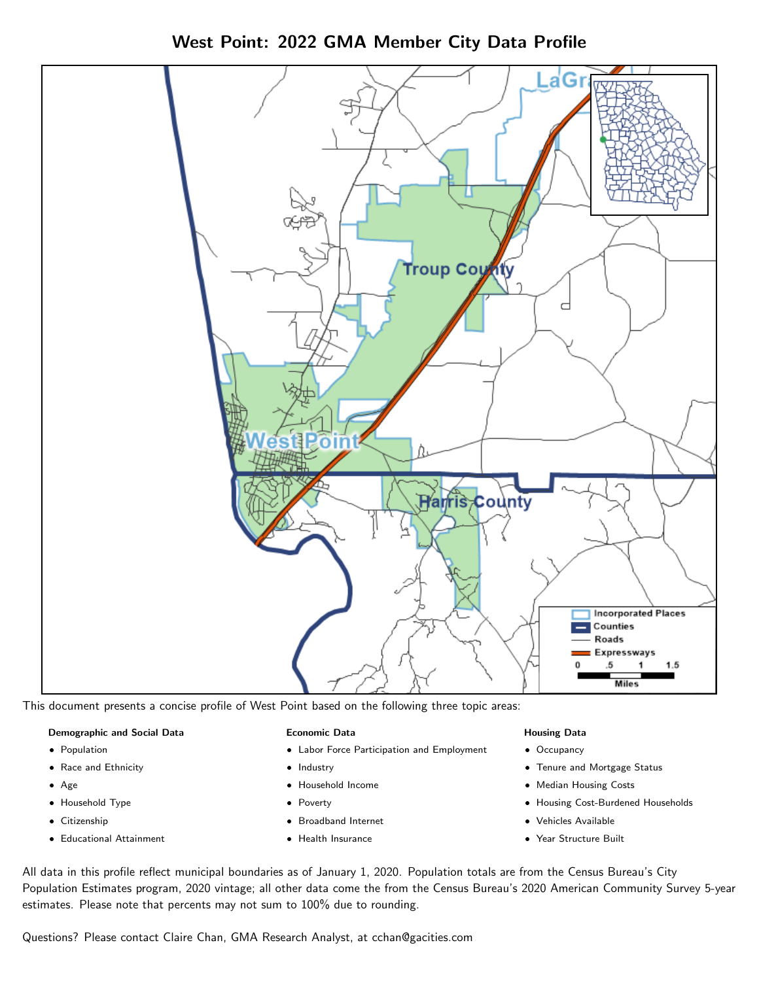West Point: 2022 GMA Member City Data Profile



This document presents a concise profile of West Point based on the following three topic areas:

#### Demographic and Social Data

- **•** Population
- Race and Ethnicity
- Age
- Household Type
- **Citizenship**
- Educational Attainment

#### Economic Data

- Labor Force Participation and Employment
- Industry
- Household Income
- Poverty
- Broadband Internet
- Health Insurance

#### Housing Data

- Occupancy
- Tenure and Mortgage Status
- Median Housing Costs
- Housing Cost-Burdened Households
- Vehicles Available
- Year Structure Built

All data in this profile reflect municipal boundaries as of January 1, 2020. Population totals are from the Census Bureau's City Population Estimates program, 2020 vintage; all other data come the from the Census Bureau's 2020 American Community Survey 5-year estimates. Please note that percents may not sum to 100% due to rounding.

Questions? Please contact Claire Chan, GMA Research Analyst, at [cchan@gacities.com.](mailto:cchan@gacities.com)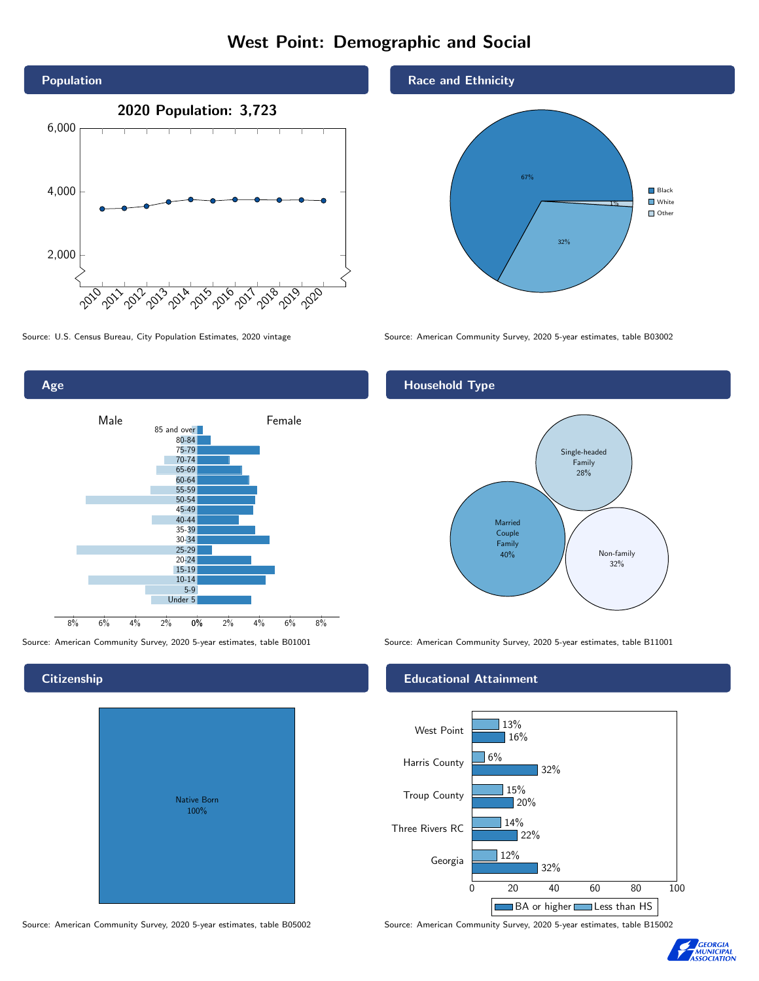### West Point: Demographic and Social





0% 2% 4% 6% 8% Male **Female** 8% 6% 4% 2% 85 and over 80-84 75-79 70-74 65-69 60-64 55-59 50-54 45-49 40-44 35-39 30-34 25-29 20-24 15-19  $10-14$ 5-9 Under 5

# Native Born 100%

#### Race and Ethnicity



Source: U.S. Census Bureau, City Population Estimates, 2020 vintage Source: American Community Survey, 2020 5-year estimates, table B03002

#### Household Type



Source: American Community Survey, 2020 5-year estimates, table B01001 Source: American Community Survey, 2020 5-year estimates, table B11001

#### Educational Attainment



Source: American Community Survey, 2020 5-year estimates, table B05002 Source: American Community Survey, 2020 5-year estimates, table B15002



#### **Citizenship**

Age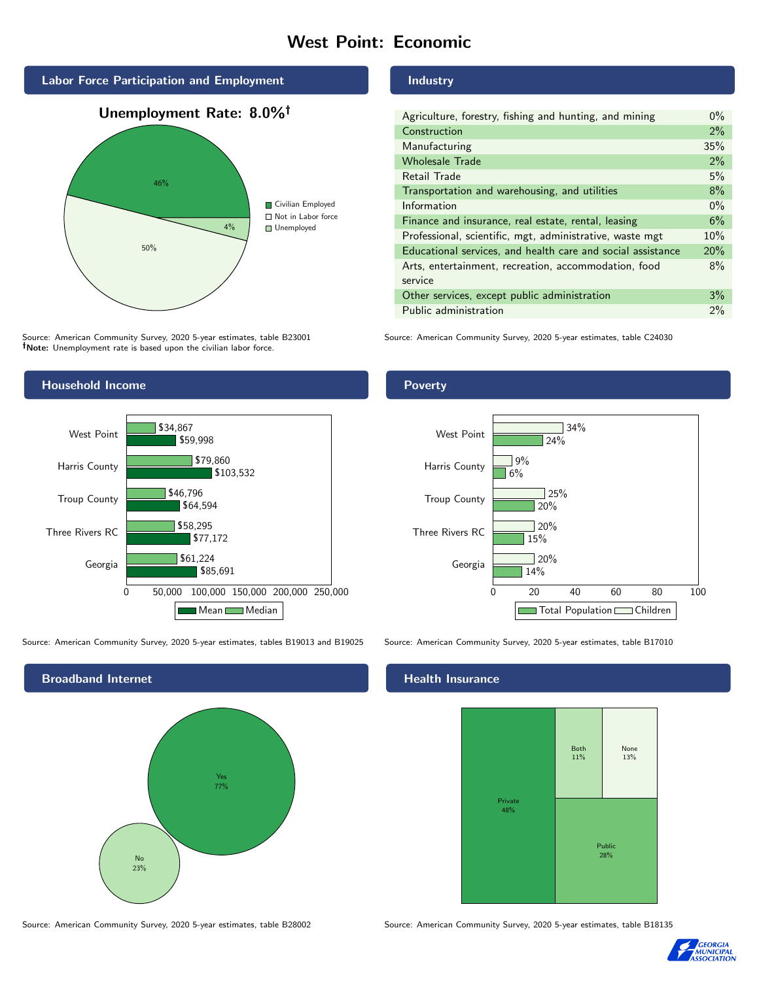#### West Point: Economic



Source: American Community Survey, 2020 5-year estimates, table B23001 Note: Unemployment rate is based upon the civilian labor force.

#### Household Income



Source: American Community Survey, 2020 5-year estimates, tables B19013 and B19025 Source: American Community Survey, 2020 5-year estimates, table B17010



Source: American Community Survey, 2020 5-year estimates, table B28002 Source: American Community Survey, 2020 5-year estimates, table B18135

#### Industry

| Agriculture, forestry, fishing and hunting, and mining      | $0\%$ |
|-------------------------------------------------------------|-------|
| Construction                                                | 2%    |
| Manufacturing                                               | 35%   |
| <b>Wholesale Trade</b>                                      | 2%    |
| Retail Trade                                                | 5%    |
| Transportation and warehousing, and utilities               | 8%    |
| Information                                                 | $0\%$ |
| Finance and insurance, real estate, rental, leasing         | 6%    |
| Professional, scientific, mgt, administrative, waste mgt    | 10%   |
| Educational services, and health care and social assistance | 20%   |
| Arts, entertainment, recreation, accommodation, food        | 8%    |
| service                                                     |       |
| Other services, except public administration                | 3%    |
| Public administration                                       | 2%    |

Source: American Community Survey, 2020 5-year estimates, table C24030

#### Poverty



#### Health Insurance